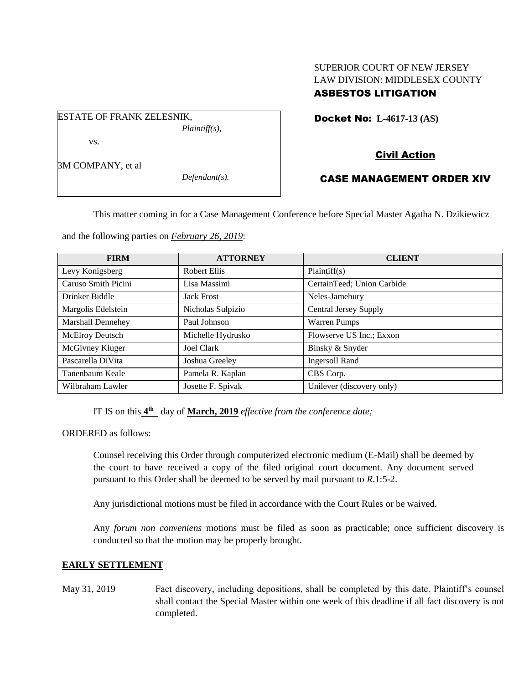### SUPERIOR COURT OF NEW JERSEY LAW DIVISION: MIDDLESEX COUNTY ASBESTOS LITIGATION

Docket No: **L-4617-13 (AS)** 

# Civil Action

# CASE MANAGEMENT ORDER XIV

This matter coming in for a Case Management Conference before Special Master Agatha N. Dzikiewicz

and the following parties on *February 26, 2019*:

| <b>FIRM</b>         | <b>ATTORNEY</b>   | <b>CLIENT</b>                |
|---------------------|-------------------|------------------------------|
| Levy Konigsberg     | Robert Ellis      | Plaintiff(s)                 |
| Caruso Smith Picini | Lisa Massimi      | CertainTeed; Union Carbide   |
| Drinker Biddle      | <b>Jack Frost</b> | Neles-Jamebury               |
| Margolis Edelstein  | Nicholas Sulpizio | <b>Central Jersey Supply</b> |
| Marshall Dennehey   | Paul Johnson      | Warren Pumps                 |
| McElroy Deutsch     | Michelle Hydrusko | Flowserve US Inc.; Exxon     |
| McGivney Kluger     | Joel Clark        | Binsky & Snyder              |
| Pascarella DiVita   | Joshua Greeley    | <b>Ingersoll Rand</b>        |
| Tanenbaum Keale     | Pamela R. Kaplan  | CBS Corp.                    |
| Wilbraham Lawler    | Josette F. Spivak | Unilever (discovery only)    |

IT IS on this  $4^{\text{th}}$  day of March, 2019 *effective from the conference date*;

ORDERED as follows:

Counsel receiving this Order through computerized electronic medium (E-Mail) shall be deemed by the court to have received a copy of the filed original court document. Any document served pursuant to this Order shall be deemed to be served by mail pursuant to *R*.1:5-2.

Any jurisdictional motions must be filed in accordance with the Court Rules or be waived.

Any *forum non conveniens* motions must be filed as soon as practicable; once sufficient discovery is conducted so that the motion may be properly brought.

### **EARLY SETTLEMENT**

May 31, 2019 Fact discovery, including depositions, shall be completed by this date. Plaintiff's counsel shall contact the Special Master within one week of this deadline if all fact discovery is not completed.

3M COMPANY, et al

vs.

ESTATE OF FRANK ZELESNIK,

*Defendant(s).*

*Plaintiff(s),*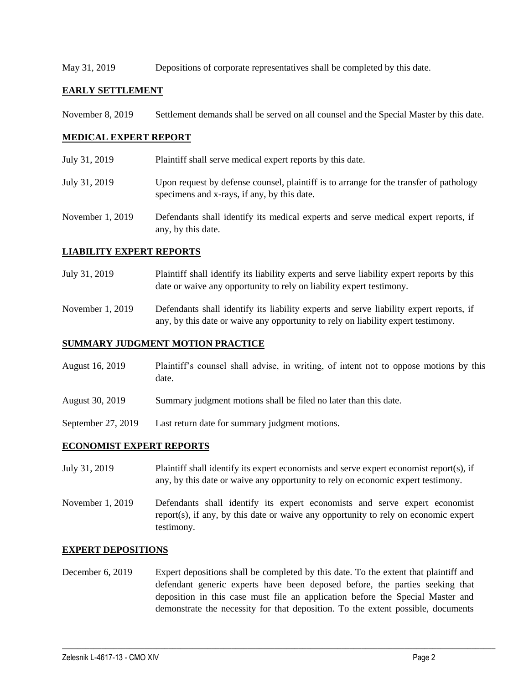May 31, 2019 Depositions of corporate representatives shall be completed by this date.

#### **EARLY SETTLEMENT**

November 8, 2019 Settlement demands shall be served on all counsel and the Special Master by this date.

### **MEDICAL EXPERT REPORT**

July 31, 2019 Plaintiff shall serve medical expert reports by this date. July 31, 2019 Upon request by defense counsel, plaintiff is to arrange for the transfer of pathology specimens and x-rays, if any, by this date. November 1, 2019 Defendants shall identify its medical experts and serve medical expert reports, if any, by this date.

### **LIABILITY EXPERT REPORTS**

- July 31, 2019 Plaintiff shall identify its liability experts and serve liability expert reports by this date or waive any opportunity to rely on liability expert testimony.
- November 1, 2019 Defendants shall identify its liability experts and serve liability expert reports, if any, by this date or waive any opportunity to rely on liability expert testimony.

### **SUMMARY JUDGMENT MOTION PRACTICE**

- August 16, 2019 Plaintiff's counsel shall advise, in writing, of intent not to oppose motions by this date.
- August 30, 2019 Summary judgment motions shall be filed no later than this date.
- September 27, 2019 Last return date for summary judgment motions.

### **ECONOMIST EXPERT REPORTS**

- July 31, 2019 Plaintiff shall identify its expert economists and serve expert economist report(s), if any, by this date or waive any opportunity to rely on economic expert testimony.
- November 1, 2019 Defendants shall identify its expert economists and serve expert economist report(s), if any, by this date or waive any opportunity to rely on economic expert testimony.

#### **EXPERT DEPOSITIONS**

December 6, 2019 Expert depositions shall be completed by this date. To the extent that plaintiff and defendant generic experts have been deposed before, the parties seeking that deposition in this case must file an application before the Special Master and demonstrate the necessity for that deposition. To the extent possible, documents

 $\_$  ,  $\_$  ,  $\_$  ,  $\_$  ,  $\_$  ,  $\_$  ,  $\_$  ,  $\_$  ,  $\_$  ,  $\_$  ,  $\_$  ,  $\_$  ,  $\_$  ,  $\_$  ,  $\_$  ,  $\_$  ,  $\_$  ,  $\_$  ,  $\_$  ,  $\_$  ,  $\_$  ,  $\_$  ,  $\_$  ,  $\_$  ,  $\_$  ,  $\_$  ,  $\_$  ,  $\_$  ,  $\_$  ,  $\_$  ,  $\_$  ,  $\_$  ,  $\_$  ,  $\_$  ,  $\_$  ,  $\_$  ,  $\_$  ,